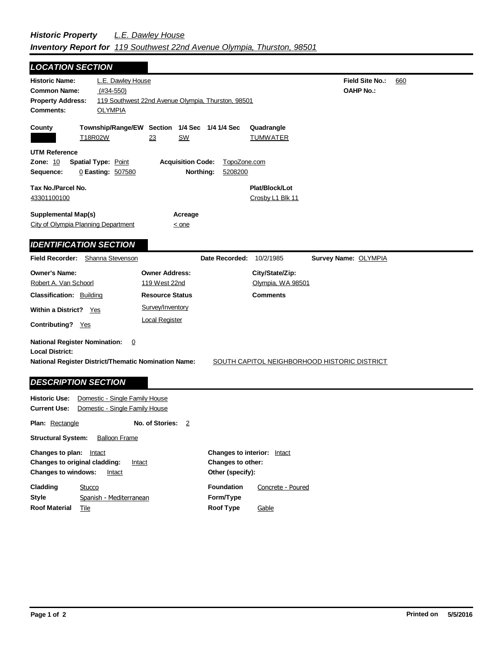## *Historic Property L.E. Dawley House Inventory Report for 119 Southwest 22nd Avenue Olympia, Thurston, 98501*

| <b>LOCATION SECTION</b>                                                                                                                                          |                                                                      |                                                         |
|------------------------------------------------------------------------------------------------------------------------------------------------------------------|----------------------------------------------------------------------|---------------------------------------------------------|
| L.E. Dawley House<br><b>Historic Name:</b><br><b>Common Name:</b><br>$(#34-550)$<br><b>Property Address:</b><br><b>OLYMPIA</b><br><b>Comments:</b>               | 119 Southwest 22nd Avenue Olympia, Thurston, 98501                   | <b>Field Site No.:</b><br>660<br><b>OAHP No.:</b>       |
| County<br>T18R02W<br>23                                                                                                                                          | Township/Range/EW Section 1/4 Sec 1/4 1/4 Sec<br><b>SW</b>           | Quadrangle<br><b>TUMWATER</b>                           |
| <b>UTM Reference</b><br><b>Zone: 10</b><br><b>Spatial Type: Point</b><br>0 Easting: 507580<br>Sequence:                                                          | <b>Acquisition Code:</b><br>TopoZone.com<br>Northing:<br>5208200     |                                                         |
| Tax No./Parcel No.<br>43301100100                                                                                                                                |                                                                      | Plat/Block/Lot<br>Crosby L1 Blk 11                      |
| <b>Supplemental Map(s)</b><br>City of Olympia Planning Department                                                                                                | Acreage<br>$\leq$ one                                                |                                                         |
| <b>IDENTIFICATION SECTION</b>                                                                                                                                    |                                                                      |                                                         |
| <b>Field Recorder:</b><br>Shanna Stevenson                                                                                                                       | Date Recorded:                                                       | 10/2/1985<br>Survey Name: OLYMPIA                       |
| <b>Owner's Name:</b><br>Robert A. Van Schoorl<br><b>Classification: Building</b>                                                                                 | <b>Owner Address:</b><br>119 West 22nd<br><b>Resource Status</b>     | City/State/Zip:<br>Olympia, WA 98501<br><b>Comments</b> |
| <b>Within a District?</b><br>Yes<br>Contributing? Yes                                                                                                            | Survey/Inventory<br><b>Local Register</b>                            |                                                         |
| <b>National Register Nomination:</b><br>0<br><b>Local District:</b><br><b>National Register District/Thematic Nomination Name:</b><br><b>DESCRIPTION SECTION</b> |                                                                      | <b>SOUTH CAPITOL NEIGHBORHOOD HISTORIC DISTRICT</b>     |
| <b>Historic Use:</b><br>Domestic - Single Family House<br><b>Current Use:</b><br>Domestic - Single Family House                                                  |                                                                      |                                                         |
| Plan: Rectangle                                                                                                                                                  | No. of Stories:<br>$\overline{2}$                                    |                                                         |
| <b>Structural System:</b><br><b>Balloon Frame</b>                                                                                                                |                                                                      |                                                         |
| Changes to plan: Intact<br>Changes to original cladding:<br>Intact<br><b>Changes to windows:</b><br>Intact                                                       | Changes to interior: Intact<br>Changes to other:<br>Other (specify): |                                                         |
| Cladding<br><b>Stucco</b><br><b>Style</b><br>Spanish - Mediterranean                                                                                             | <b>Foundation</b><br>Form/Type                                       | Concrete - Poured                                       |

**Roof Type**

Gable

 $\blacksquare$ 

**Roof Material** Tile